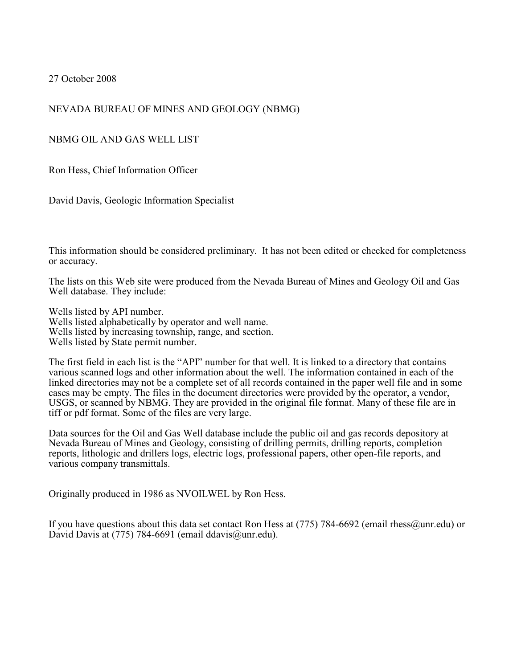27 October 2008

### NEVADA BUREAU OF MINES AND GEOLOGY (NBMG)

NBMG OIL AND GAS WELL LIST

Ron Hess, Chief Information Officer

David Davis, Geologic Information Specialist

This information should be considered preliminary. It has not been edited or checked for completeness or accuracy.

The lists on this Web site were produced from the Nevada Bureau of Mines and Geology Oil and Gas Well database. They include:

Wells listed by API number. Wells listed alphabetically by operator and well name. Wells listed by increasing township, range, and section. Wells listed by State permit number.

The first field in each list is the "API" number for that well. It is linked to a directory that contains various scanned logs and other information about the well. The information contained in each of the linked directories may not be a complete set of all records contained in the paper well file and in some cases may be empty. The files in the document directories were provided by the operator, a vendor, USGS, or scanned by NBMG. They are provided in the original file format. Many of these file are in tiff or pdf format. Some of the files are very large.

Data sources for the Oil and Gas Well database include the public oil and gas records depository at Nevada Bureau of Mines and Geology, consisting of drilling permits, drilling reports, completion reports, lithologic and drillers logs, electric logs, professional papers, other open-file reports, and various company transmittals.

Originally produced in 1986 as NVOILWEL by Ron Hess.

If you have questions about this data set contact Ron Hess at (775) 784-6692 (email rhess@unr.edu) or David Davis at (775) 784-6691 (email ddavis@unr.edu).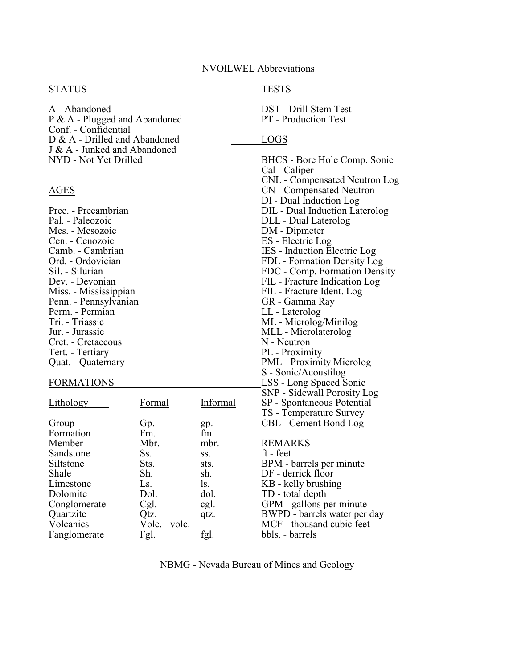### STATUS TESTS

A - Abandoned DST - Drill Stem Test<br>
P & A - Plugged and Abandoned PT - Production Test  $P & A - Plugged$  and Abandoned Conf. - Confidential D & A - Drilled and Abandoned LOGS J & A - Junked and Abandoned

Mes. - Mesozoic DM - Dipmeter<br>
Cen. - Cenozoic ES - Electric Lo Cen. - Cenozoic ES - Electric Log<br>
Camb. - Cambrian IES - Induction El Penn. - Pennsylvanian GR - Gamma R<br>Perm. - Permian LL - Laterolog Perm. - Permian<br>Tri. - Triassic Cret. - Cretaceous<br>Tert. - Tertiary

|              |                |          | SINE - SIUGWAII EUIUSIUY LA |
|--------------|----------------|----------|-----------------------------|
| Lithology    | Formal         | Informal | SP - Spontaneous Potentia   |
|              |                |          | TS - Temperature Survey     |
| Group        | Gp.            | gp.      | CBL - Cement Bond Log       |
| Formation    | Fm.            | fm.      |                             |
| Member       | Mbr.           | mbr.     | <b>REMARKS</b>              |
| Sandstone    | Ss.            | SS.      | ft - feet                   |
| Siltstone    | Sts.           | sts.     | BPM - barrels per minute    |
| Shale        | Sh.            | sh.      | DF - derrick floor          |
| Limestone    | Ls.            | ls.      | KB - kelly brushing         |
| Dolomite     | Dol.           | dol.     | TD - total depth            |
| Conglomerate | Cgl.           | cgl.     | GPM - gallons per minute    |
| Quartzite    | Qtz.           | qtz.     | BWPD - barrels water per    |
| Volcanics    | Volc.<br>volc. |          | MCF - thousand cubic feet   |
| Fanglomerate | Fgl.           | fgl.     | bbls. - barrels             |
|              |                |          |                             |

NBMG - Nevada Bureau of Mines and Geology

BHCS - Bore Hole Comp. Sonic Cal - Caliper CNL - Compensated Neutron Log AGES CN - Compensated Neutron DI - Dual Induction Log Prec. - Precambrian DIL - Dual Induction Laterolog Pal. - Paleozoic **Pal. - Paleozoic Pal. - Paleozoic DLL - Dual Laterolog Mes. - Mesozoic** Camb. - Cambrian IES - Induction Electric Log<br>Ord. - Ordovician IES - Induction Electric Log<br>FDL - Formation Density Lo Ord. - Ordovician FDL - Formation Density Log<br>Sil. - Silurian FDC - Comp. Formation Dens FDC - Comp. Formation Density Dev. - Devonian FIL - Fracture Indication Log<br>
Miss. - Mississippian FIL - Fracture Ident. Log FIL - Fracture Ident. Log<br>GR - Gamma Ray ML - Microlog/Minilog Jur. - Jurassic<br>Cret. - Cretaceous M - Neutron M - Neutron PL - Proximity Quat. - Quaternary PML - Proximity Microlog S - Sonic/Acoustilog FORMATIONS LONGITY LSS - Long Spaced Sonic SNP - Sidewall Porosity Log us Potential re Survey oer minute water per day<br>cubic feet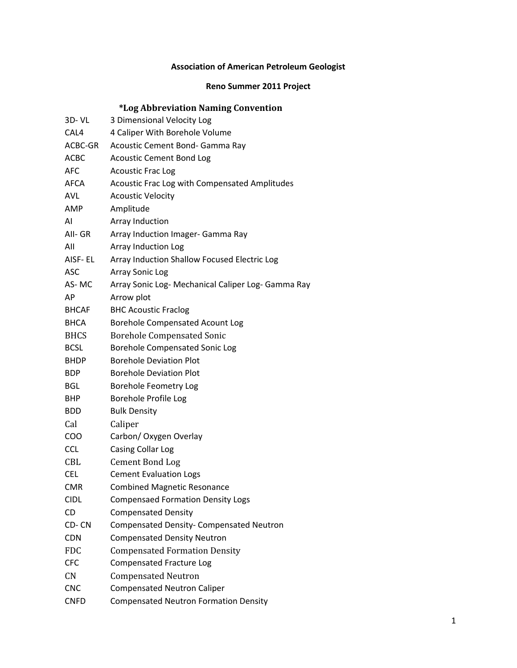# **Association of American Petroleum Geologist**

## **Reno Summer 2011 Project**

# **\*Log Abbreviation Naming Convention**

| $3D - VL$    | 3 Dimensional Velocity Log                         |
|--------------|----------------------------------------------------|
| CAL4         | 4 Caliper With Borehole Volume                     |
| ACBC-GR      | Acoustic Cement Bond- Gamma Ray                    |
| <b>ACBC</b>  | <b>Acoustic Cement Bond Log</b>                    |
| <b>AFC</b>   | <b>Acoustic Frac Log</b>                           |
| AFCA         | Acoustic Frac Log with Compensated Amplitudes      |
| <b>AVL</b>   | <b>Acoustic Velocity</b>                           |
| AMP          | Amplitude                                          |
| AI           | Array Induction                                    |
| AII- GR      | Array Induction Imager- Gamma Ray                  |
| All          | <b>Array Induction Log</b>                         |
| AISF- EL     | Array Induction Shallow Focused Electric Log       |
| <b>ASC</b>   | <b>Array Sonic Log</b>                             |
| AS-MC        | Array Sonic Log- Mechanical Caliper Log- Gamma Ray |
| AP           | Arrow plot                                         |
| <b>BHCAF</b> | <b>BHC Acoustic Fraclog</b>                        |
| <b>BHCA</b>  | Borehole Compensated Acount Log                    |
| <b>BHCS</b>  | <b>Borehole Compensated Sonic</b>                  |
| <b>BCSL</b>  | Borehole Compensated Sonic Log                     |
| <b>BHDP</b>  | <b>Borehole Deviation Plot</b>                     |
| <b>BDP</b>   | <b>Borehole Deviation Plot</b>                     |
| <b>BGL</b>   | <b>Borehole Feometry Log</b>                       |
| BHP          | Borehole Profile Log                               |
| <b>BDD</b>   | <b>Bulk Density</b>                                |
| Cal          | Caliper                                            |
| COO          | Carbon/ Oxygen Overlay                             |
| <b>CCL</b>   | Casing Collar Log                                  |
| CBL          | <b>Cement Bond Log</b>                             |
| <b>CEL</b>   | <b>Cement Evaluation Logs</b>                      |
| <b>CMR</b>   | <b>Combined Magnetic Resonance</b>                 |
| <b>CIDL</b>  | <b>Compensaed Formation Density Logs</b>           |
| CD           | <b>Compensated Density</b>                         |
| CD-CN        | <b>Compensated Density- Compensated Neutron</b>    |
| <b>CDN</b>   | <b>Compensated Density Neutron</b>                 |
| <b>FDC</b>   | <b>Compensated Formation Density</b>               |
| <b>CFC</b>   | <b>Compensated Fracture Log</b>                    |
| CN           | <b>Compensated Neutron</b>                         |
| <b>CNC</b>   | <b>Compensated Neutron Caliper</b>                 |
| <b>CNFD</b>  | <b>Compensated Neutron Formation Density</b>       |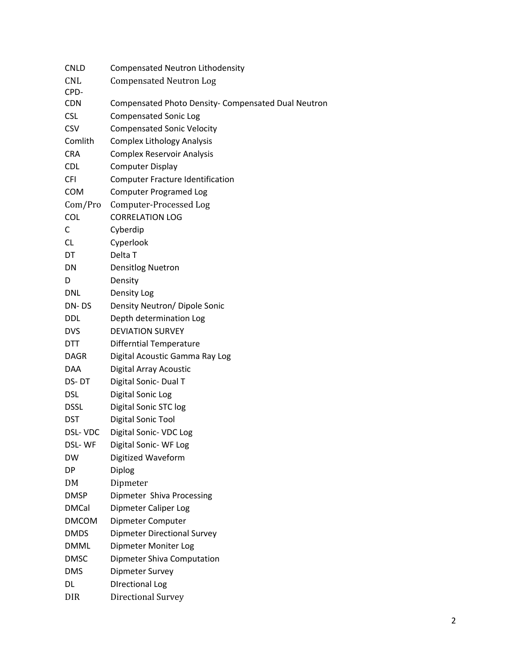| <b>CNLD</b>    | Compensated Neutron Lithodensity                    |
|----------------|-----------------------------------------------------|
| <b>CNL</b>     | <b>Compensated Neutron Log</b>                      |
| CPD-           |                                                     |
| <b>CDN</b>     | Compensated Photo Density- Compensated Dual Neutron |
| <b>CSL</b>     | <b>Compensated Sonic Log</b>                        |
| CSV            | <b>Compensated Sonic Velocity</b>                   |
| Comlith        | <b>Complex Lithology Analysis</b>                   |
| <b>CRA</b>     | <b>Complex Reservoir Analysis</b>                   |
| <b>CDL</b>     | <b>Computer Display</b>                             |
| <b>CFI</b>     | <b>Computer Fracture Identification</b>             |
| <b>COM</b>     | <b>Computer Programed Log</b>                       |
| Com/Pro        | Computer-Processed Log                              |
| <b>COL</b>     | <b>CORRELATION LOG</b>                              |
| С              | Cyberdip                                            |
| <b>CL</b>      | Cyperlook                                           |
| DT             | Delta T                                             |
| DN             | <b>Densitlog Nuetron</b>                            |
| D              | Density                                             |
| <b>DNL</b>     | Density Log                                         |
| DN-DS          | Density Neutron/ Dipole Sonic                       |
| <b>DDL</b>     | Depth determination Log                             |
| <b>DVS</b>     | <b>DEVIATION SURVEY</b>                             |
| <b>DTT</b>     | <b>Differntial Temperature</b>                      |
| <b>DAGR</b>    | Digital Acoustic Gamma Ray Log                      |
| <b>DAA</b>     | Digital Array Acoustic                              |
| DS-DT          | Digital Sonic- Dual T                               |
| <b>DSL</b>     | Digital Sonic Log                                   |
| <b>DSSL</b>    | Digital Sonic STC log                               |
| <b>DST</b>     | Digital Sonic Tool                                  |
| <b>DSL-VDC</b> | Digital Sonic- VDC Log                              |
| DSL-WF         | Digital Sonic-WF Log                                |
| <b>DW</b>      | Digitized Waveform                                  |
| DP             | Diplog                                              |
| DM             | Dipmeter                                            |
| <b>DMSP</b>    | Dipmeter Shiva Processing                           |
| <b>DMCal</b>   | Dipmeter Caliper Log                                |
| <b>DMCOM</b>   | Dipmeter Computer                                   |
| <b>DMDS</b>    | <b>Dipmeter Directional Survey</b>                  |
| <b>DMML</b>    | Dipmeter Moniter Log                                |
| <b>DMSC</b>    | Dipmeter Shiva Computation                          |
| <b>DMS</b>     | Dipmeter Survey                                     |
| DL             | <b>DIrectional Log</b>                              |
| <b>DIR</b>     | <b>Directional Survey</b>                           |
|                |                                                     |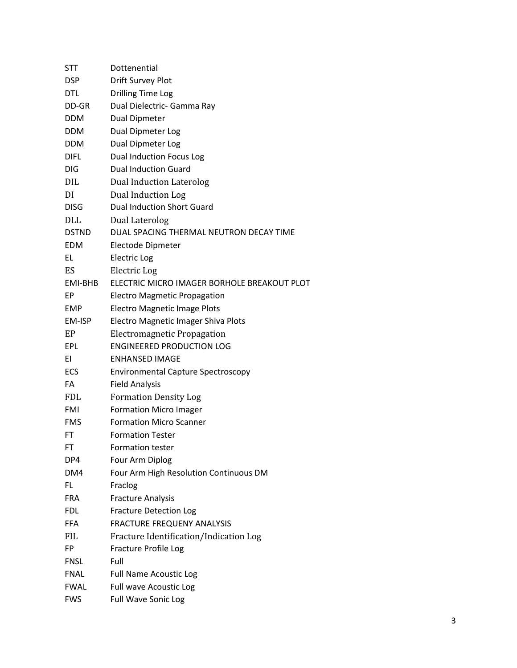| <b>STT</b>   | Dottenential                                |
|--------------|---------------------------------------------|
| <b>DSP</b>   | Drift Survey Plot                           |
| <b>DTL</b>   | <b>Drilling Time Log</b>                    |
| DD-GR        | Dual Dielectric- Gamma Ray                  |
| <b>DDM</b>   | <b>Dual Dipmeter</b>                        |
| <b>DDM</b>   | Dual Dipmeter Log                           |
| <b>DDM</b>   | Dual Dipmeter Log                           |
| <b>DIFL</b>  | Dual Induction Focus Log                    |
| <b>DIG</b>   | <b>Dual Induction Guard</b>                 |
| <b>DIL</b>   | <b>Dual Induction Laterolog</b>             |
| DI           | Dual Induction Log                          |
| <b>DISG</b>  | <b>Dual Induction Short Guard</b>           |
| <b>DLL</b>   | Dual Laterolog                              |
| <b>DSTND</b> | DUAL SPACING THERMAL NEUTRON DECAY TIME     |
| <b>EDM</b>   | Electode Dipmeter                           |
| EL           | <b>Electric Log</b>                         |
| ES           | Electric Log                                |
| EMI-BHB      | ELECTRIC MICRO IMAGER BORHOLE BREAKOUT PLOT |
| EP           | <b>Electro Magmetic Propagation</b>         |
| <b>EMP</b>   | Electro Magnetic Image Plots                |
| EM-ISP       | Electro Magnetic Imager Shiva Plots         |
| EP           | Electromagnetic Propagation                 |
| <b>EPL</b>   | <b>ENGINEERED PRODUCTION LOG</b>            |
| ΕI           | <b>ENHANSED IMAGE</b>                       |
| ECS          | <b>Environmental Capture Spectroscopy</b>   |
| FA           | <b>Field Analysis</b>                       |
| <b>FDL</b>   | <b>Formation Density Log</b>                |
| <b>FMI</b>   | <b>Formation Micro Imager</b>               |
| <b>FMS</b>   | <b>Formation Micro Scanner</b>              |
| FT           | <b>Formation Tester</b>                     |
| FT           | <b>Formation tester</b>                     |
| DP4          | Four Arm Diplog                             |
| DM4          | Four Arm High Resolution Continuous DM      |
| FL.          | Fraclog                                     |
| <b>FRA</b>   | <b>Fracture Analysis</b>                    |
| <b>FDL</b>   | <b>Fracture Detection Log</b>               |
| <b>FFA</b>   | <b>FRACTURE FREQUENY ANALYSIS</b>           |
| <b>FIL</b>   | Fracture Identification/Indication Log      |
| FP           | Fracture Profile Log                        |
| <b>FNSL</b>  | Full                                        |
| <b>FNAL</b>  | <b>Full Name Acoustic Log</b>               |
| <b>FWAL</b>  | Full wave Acoustic Log                      |
| <b>FWS</b>   | Full Wave Sonic Log                         |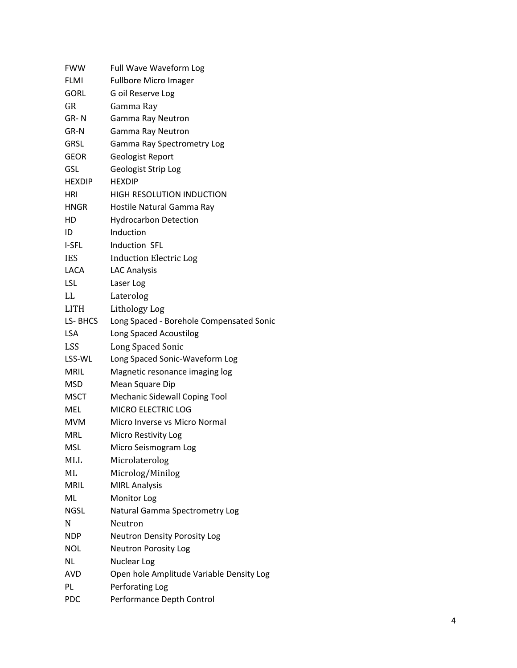| <b>FWW</b>    | Full Wave Waveform Log                   |
|---------------|------------------------------------------|
| <b>FLMI</b>   | <b>Fullbore Micro Imager</b>             |
| <b>GORL</b>   | G oil Reserve Log                        |
| GR            | Gamma Ray                                |
| GR-N          | Gamma Ray Neutron                        |
| GR-N          | Gamma Ray Neutron                        |
| GRSL          | Gamma Ray Spectrometry Log               |
| <b>GEOR</b>   | Geologist Report                         |
| <b>GSL</b>    | <b>Geologist Strip Log</b>               |
| <b>HEXDIP</b> | <b>HEXDIP</b>                            |
| HRI           | <b>HIGH RESOLUTION INDUCTION</b>         |
| HNGR          | Hostile Natural Gamma Ray                |
| HD            | <b>Hydrocarbon Detection</b>             |
| ID            | Induction                                |
| I-SFL         | Induction SFL                            |
| <b>IES</b>    | <b>Induction Electric Log</b>            |
| LACA          | <b>LAC Analysis</b>                      |
| <b>LSL</b>    | Laser Log                                |
| LL            | Laterolog                                |
| <b>LITH</b>   | Lithology Log                            |
| LS-BHCS       | Long Spaced - Borehole Compensated Sonic |
| LSA           | Long Spaced Acoustilog                   |
| <b>LSS</b>    | Long Spaced Sonic                        |
| LSS-WL        | Long Spaced Sonic-Waveform Log           |
| <b>MRIL</b>   | Magnetic resonance imaging log           |
| MSD           | Mean Square Dip                          |
| <b>MSCT</b>   | <b>Mechanic Sidewall Coping Tool</b>     |
| <b>MEL</b>    | <b>MICRO ELECTRIC LOG</b>                |
| <b>MVM</b>    | Micro Inverse vs Micro Normal            |
| MRL           | Micro Restivity Log                      |
| MSL           | Micro Seismogram Log                     |
| MLL           | Microlaterolog                           |
| ML            | Microlog/Minilog                         |
| <b>MRIL</b>   | <b>MIRL Analysis</b>                     |
| ML            | Monitor Log                              |
| NGSL          | Natural Gamma Spectrometry Log           |
| N             | Neutron                                  |
| <b>NDP</b>    | <b>Neutron Density Porosity Log</b>      |
| NOL           | Neutron Porosity Log                     |
| ΝL            | <b>Nuclear Log</b>                       |
| AVD           | Open hole Amplitude Variable Density Log |
| PL            | Perforating Log                          |
| <b>PDC</b>    | Performance Depth Control                |
|               |                                          |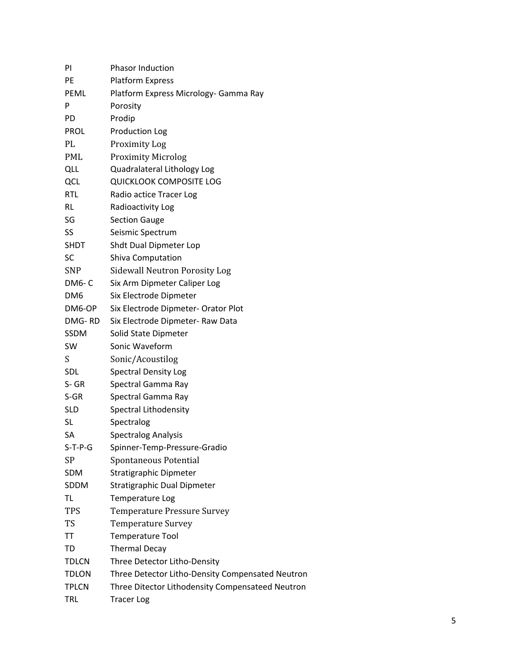| PI              | <b>Phasor Induction</b>                          |
|-----------------|--------------------------------------------------|
| PE              | <b>Platform Express</b>                          |
| PEML            | Platform Express Micrology- Gamma Ray            |
| P               | Porosity                                         |
| PD              | Prodip                                           |
| <b>PROL</b>     | <b>Production Log</b>                            |
| PL              | <b>Proximity Log</b>                             |
| PML             | <b>Proximity Microlog</b>                        |
| QLL             | Quadralateral Lithology Log                      |
| QCL             | <b>QUICKLOOK COMPOSITE LOG</b>                   |
| <b>RTL</b>      | Radio actice Tracer Log                          |
| RL              | Radioactivity Log                                |
| SG              | <b>Section Gauge</b>                             |
| SS              | Seismic Spectrum                                 |
| SHDT            | Shdt Dual Dipmeter Lop                           |
| SC              | <b>Shiva Computation</b>                         |
| <b>SNP</b>      | <b>Sidewall Neutron Porosity Log</b>             |
| DM6- C          | Six Arm Dipmeter Caliper Log                     |
| DM <sub>6</sub> | Six Electrode Dipmeter                           |
| DM6-OP          | Six Electrode Dipmeter- Orator Plot              |
| DMG-RD          | Six Electrode Dipmeter- Raw Data                 |
| <b>SSDM</b>     | Solid State Dipmeter                             |
| SW              | Sonic Waveform                                   |
| S               | Sonic/Acoustilog                                 |
| SDL             | <b>Spectral Density Log</b>                      |
| S-GR            | Spectral Gamma Ray                               |
| S-GR            | Spectral Gamma Ray                               |
| <b>SLD</b>      | Spectral Lithodensity                            |
| SL              | Spectralog                                       |
| SА              | <b>Spectralog Analysis</b>                       |
| $S-T-P-G$       | Spinner-Temp-Pressure-Gradio                     |
| SP              | Spontaneous Potential                            |
| SDM             | Stratigraphic Dipmeter                           |
| SDDM            | Stratigraphic Dual Dipmeter                      |
| TL              | Temperature Log                                  |
| <b>TPS</b>      | Temperature Pressure Survey                      |
| TS              | <b>Temperature Survey</b>                        |
| TT              | <b>Temperature Tool</b>                          |
| TD              | <b>Thermal Decay</b>                             |
| <b>TDLCN</b>    | Three Detector Litho-Density                     |
| TDLON           | Three Detector Litho-Density Compensated Neutron |
| <b>TPLCN</b>    | Three Ditector Lithodensity Compensateed Neutron |
| TRL             | <b>Tracer Log</b>                                |